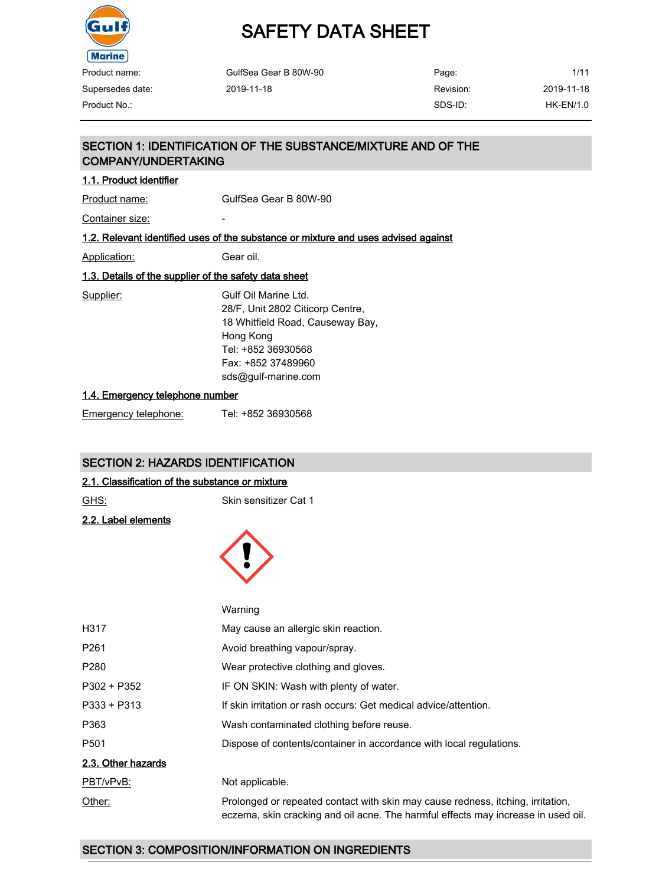

# SAFETY DATA SHEET

| Product name:    | GulfSea Gear B 80W-90 | Page:     | 1/11       |
|------------------|-----------------------|-----------|------------|
| Supersedes date: | 2019-11-18            | Revision: | 2019-11-18 |
| Product No.:     |                       | SDS-ID:   | HK-EN/1.0  |

## SECTION 1: IDENTIFICATION OF THE SUBSTANCE/MIXTURE AND OF THE COMPANY/UNDERTAKING

#### 1.1. Product identifier

Product name: GulfSea Gear B 80W-90

Container size:

#### 1.2. Relevant identified uses of the substance or mixture and uses advised against

Application: Gear oil.

### 1.3. Details of the supplier of the safety data sheet

Supplier: Gulf Oil Marine Ltd. 28/F, Unit 2802 Citicorp Centre, 18 Whitfield Road, Causeway Bay, Hong Kong Tel: +852 36930568 Fax: +852 37489960 sds@gulf-marine.com

#### 1.4. Emergency telephone number

| Emergency telephone: | Tel: +852 36930568 |
|----------------------|--------------------|
|                      |                    |

### SECTION 2: HAZARDS IDENTIFICATION

#### 2.1. Classification of the substance or mixture

| GHS: |  |
|------|--|
|      |  |

Skin sensitizer Cat 1

2.2. Label elements



|                    | Warning                                                                                                                                                              |
|--------------------|----------------------------------------------------------------------------------------------------------------------------------------------------------------------|
| H317               | May cause an allergic skin reaction.                                                                                                                                 |
| P <sub>261</sub>   | Avoid breathing vapour/spray.                                                                                                                                        |
| P <sub>280</sub>   | Wear protective clothing and gloves.                                                                                                                                 |
| P302 + P352        | IF ON SKIN: Wash with plenty of water.                                                                                                                               |
| $P333 + P313$      | If skin irritation or rash occurs: Get medical advice/attention.                                                                                                     |
| P363               | Wash contaminated clothing before reuse.                                                                                                                             |
| P <sub>501</sub>   | Dispose of contents/container in accordance with local regulations.                                                                                                  |
| 2.3. Other hazards |                                                                                                                                                                      |
| PBT/vPvB:          | Not applicable.                                                                                                                                                      |
| Other:             | Prolonged or repeated contact with skin may cause redness, itching, irritation,<br>eczema, skin cracking and oil acne. The harmful effects may increase in used oil. |

## SECTION 3: COMPOSITION/INFORMATION ON INGREDIENTS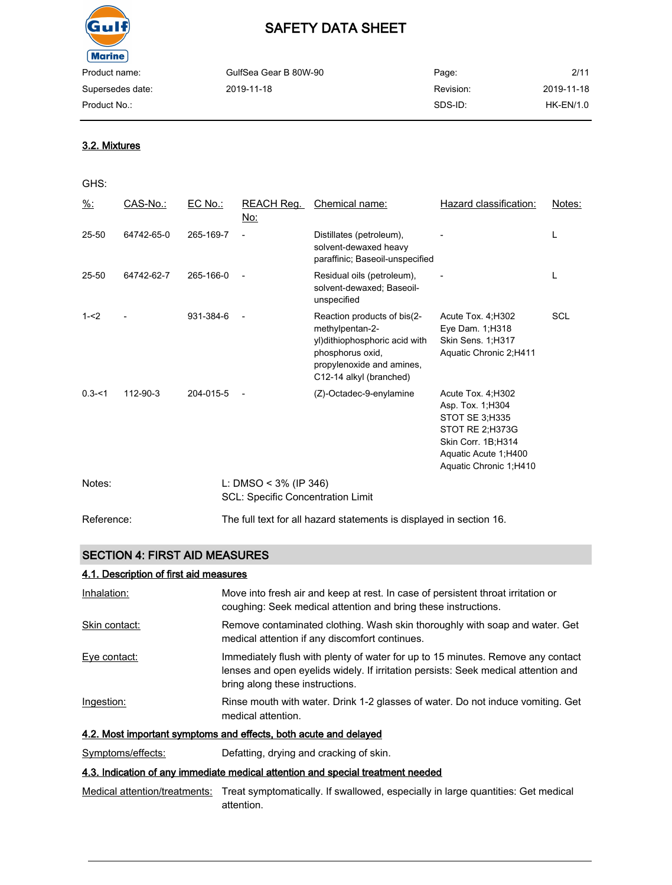

| Product name:    | GulfSea Gear B 80W-90 | Page:     | 2/11       |
|------------------|-----------------------|-----------|------------|
| Supersedes date: | 2019-11-18            | Revision: | 2019-11-18 |
| Product No.:     |                       | SDS-ID:   | HK-EN/1.0  |

#### 3.2. Mixtures

#### GHS:

| $\frac{9}{6}$ : | CAS-No.:   | EC No.:   | REACH Reg.<br>No:                                                    | Chemical name:                                                                                                                                               | Hazard classification:                                                                                                                                       | Notes:     |
|-----------------|------------|-----------|----------------------------------------------------------------------|--------------------------------------------------------------------------------------------------------------------------------------------------------------|--------------------------------------------------------------------------------------------------------------------------------------------------------------|------------|
| $25 - 50$       | 64742-65-0 | 265-169-7 |                                                                      | Distillates (petroleum),<br>solvent-dewaxed heavy<br>paraffinic; Baseoil-unspecified                                                                         |                                                                                                                                                              | L          |
| 25-50           | 64742-62-7 | 265-166-0 |                                                                      | Residual oils (petroleum),<br>solvent-dewaxed; Baseoil-<br>unspecified                                                                                       |                                                                                                                                                              | L          |
| $1 - 2$         |            | 931-384-6 |                                                                      | Reaction products of bis(2-<br>methylpentan-2-<br>yl) dithiophosphoric acid with<br>phosphorus oxid,<br>propylenoxide and amines,<br>C12-14 alkyl (branched) | Acute Tox. 4; H302<br>Eye Dam. 1; H318<br>Skin Sens. 1;H317<br>Aquatic Chronic 2;H411                                                                        | <b>SCL</b> |
| $0.3 - 1$       | 112-90-3   | 204-015-5 |                                                                      | (Z)-Octadec-9-enylamine                                                                                                                                      | Acute Tox. 4; H302<br>Asp. Tox. 1; H304<br><b>STOT SE 3:H335</b><br>STOT RE 2;H373G<br>Skin Corr. 1B;H314<br>Aquatic Acute 1;H400<br>Aquatic Chronic 1, H410 |            |
| Notes:          |            |           | L: DMSO < $3\%$ (IP 346)<br><b>SCL: Specific Concentration Limit</b> |                                                                                                                                                              |                                                                                                                                                              |            |
| Reference:      |            |           |                                                                      | The full text for all hazard statements is displayed in section 16.                                                                                          |                                                                                                                                                              |            |

### SECTION 4: FIRST AID MEASURES

### 4.1. Description of first aid measures

| Inhalation:       | Move into fresh air and keep at rest. In case of persistent throat irritation or<br>coughing: Seek medical attention and bring these instructions.                                                       |
|-------------------|----------------------------------------------------------------------------------------------------------------------------------------------------------------------------------------------------------|
| Skin contact:     | Remove contaminated clothing. Wash skin thoroughly with soap and water. Get<br>medical attention if any discomfort continues.                                                                            |
| Eye contact:      | Immediately flush with plenty of water for up to 15 minutes. Remove any contact<br>lenses and open eyelids widely. If irritation persists: Seek medical attention and<br>bring along these instructions. |
| Ingestion:        | Rinse mouth with water. Drink 1-2 glasses of water. Do not induce vomiting. Get<br>medical attention.                                                                                                    |
|                   | 4.2. Most important symptoms and effects, both acute and delayed                                                                                                                                         |
| Symptoms/effects: | Defatting, drying and cracking of skin.                                                                                                                                                                  |

#### 4.3. Indication of any immediate medical attention and special treatment needed

Medical attention/treatments: Treat symptomatically. If swallowed, especially in large quantities: Get medical attention.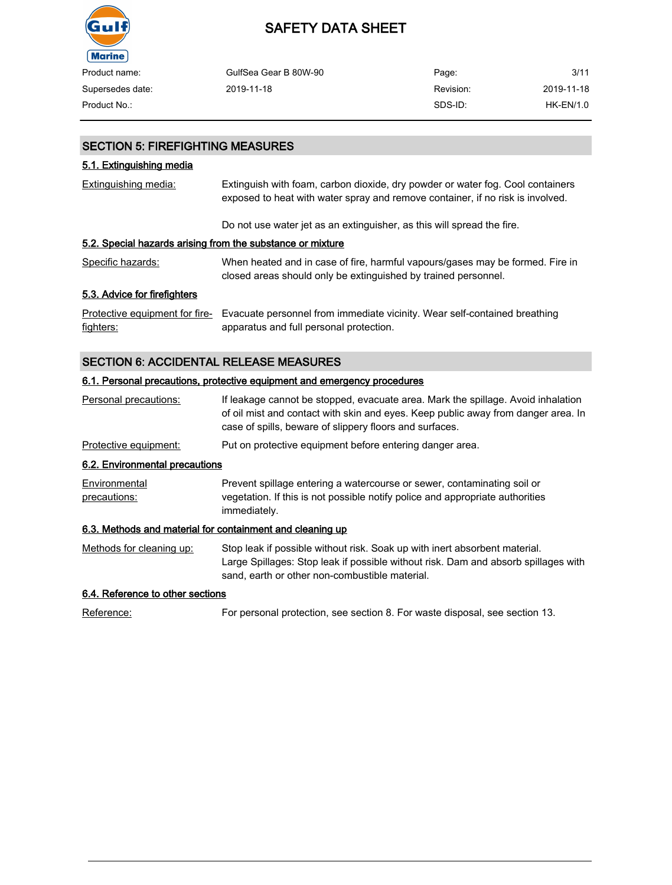

| Product name:    | GulfSea Gear B 80W-90 | Page:     | 3/11       |
|------------------|-----------------------|-----------|------------|
| Supersedes date: | 2019-11-18            | Revision: | 2019-11-18 |
| Product No.:     |                       | SDS-ID:   | HK-EN/1.0  |

#### SECTION 5: FIREFIGHTING MEASURES

### 5.1. Extinguishing media

| Extinguishing media:                                       | Extinguish with foam, carbon dioxide, dry powder or water fog. Cool containers<br>exposed to heat with water spray and remove container, if no risk is involved. |  |
|------------------------------------------------------------|------------------------------------------------------------------------------------------------------------------------------------------------------------------|--|
|                                                            | Do not use water jet as an extinguisher, as this will spread the fire.                                                                                           |  |
| 5.2. Special hazards arising from the substance or mixture |                                                                                                                                                                  |  |
| Specific hazards:                                          | When heated and in case of fire, harmful vapours/gases may be formed. Fire in<br>closed areas should only be extinguished by trained personnel.                  |  |
| 5.3. Advice for firefighters                               |                                                                                                                                                                  |  |
| Protective equipment for fire-<br>fighters:                | Evacuate personnel from immediate vicinity. Wear self-contained breathing<br>apparatus and full personal protection.                                             |  |

## SECTION 6: ACCIDENTAL RELEASE MEASURES

#### 6.1. Personal precautions, protective equipment and emergency procedures

| Personal precautions:                                     | If leakage cannot be stopped, evacuate area. Mark the spillage. Avoid inhalation<br>of oil mist and contact with skin and eyes. Keep public away from danger area. In<br>case of spills, beware of slippery floors and surfaces. |
|-----------------------------------------------------------|----------------------------------------------------------------------------------------------------------------------------------------------------------------------------------------------------------------------------------|
| Protective equipment:                                     | Put on protective equipment before entering danger area.                                                                                                                                                                         |
| 6.2. Environmental precautions                            |                                                                                                                                                                                                                                  |
| Environmental<br>precautions:                             | Prevent spillage entering a watercourse or sewer, contaminating soil or<br>vegetation. If this is not possible notify police and appropriate authorities<br>immediately.                                                         |
| 6.3. Methods and material for containment and cleaning up |                                                                                                                                                                                                                                  |
| Methods for cleaning up:                                  | Stop leak if possible without risk. Soak up with inert absorbent material.<br>Large Spillages: Stop leak if possible without risk. Dam and absorb spillages with<br>sand, earth or other non-combustible material.               |
| 6.4 Peferange to ether coefione                           |                                                                                                                                                                                                                                  |

#### 6.4. Reference to other sections

Reference: For personal protection, see section 8. For waste disposal, see section 13.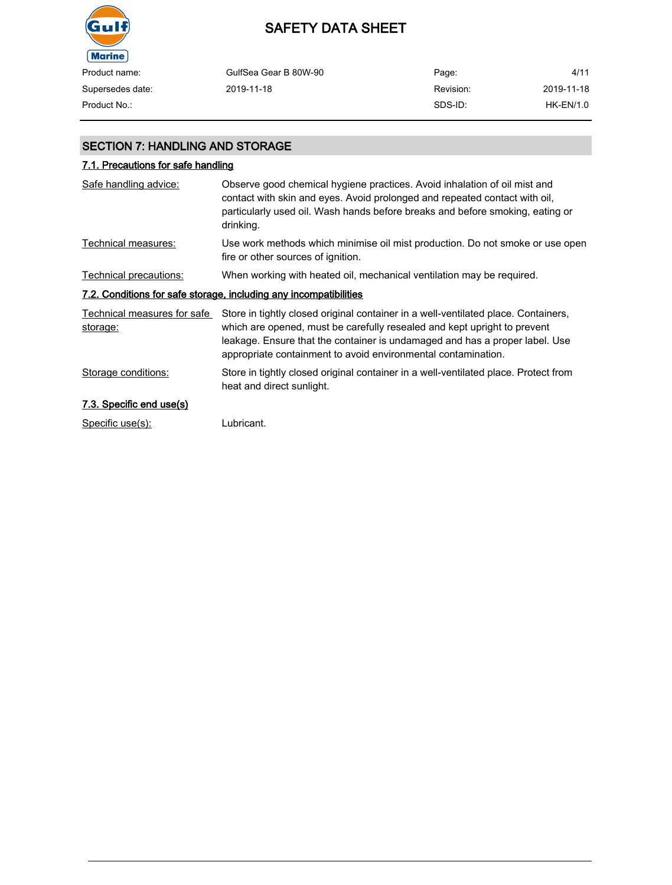

| Product name:    | GulfSea Gear B 80W-90 | Page:     | 4/11       |
|------------------|-----------------------|-----------|------------|
| Supersedes date: | 2019-11-18            | Revision: | 2019-11-18 |
| Product No.:     |                       | SDS-ID:   | HK-EN/1.0  |

### SECTION 7: HANDLING AND STORAGE

## 7.1. Precautions for safe handling

| Safe handling advice:                   | Observe good chemical hygiene practices. Avoid inhalation of oil mist and<br>contact with skin and eyes. Avoid prolonged and repeated contact with oil,<br>particularly used oil. Wash hands before breaks and before smoking, eating or<br>drinking.                                                          |
|-----------------------------------------|----------------------------------------------------------------------------------------------------------------------------------------------------------------------------------------------------------------------------------------------------------------------------------------------------------------|
| Technical measures:                     | Use work methods which minimise oil mist production. Do not smoke or use open<br>fire or other sources of ignition.                                                                                                                                                                                            |
| Technical precautions:                  | When working with heated oil, mechanical ventilation may be required.                                                                                                                                                                                                                                          |
|                                         | 7.2. Conditions for safe storage, including any incompatibilities                                                                                                                                                                                                                                              |
| Technical measures for safe<br>storage: | Store in tightly closed original container in a well-ventilated place. Containers,<br>which are opened, must be carefully resealed and kept upright to prevent<br>leakage. Ensure that the container is undamaged and has a proper label. Use<br>appropriate containment to avoid environmental contamination. |
| Storage conditions:                     | Store in tightly closed original container in a well-ventilated place. Protect from<br>heat and direct sunlight.                                                                                                                                                                                               |
| 7.3. Specific end use(s)                |                                                                                                                                                                                                                                                                                                                |
| Specific use(s):                        | Lubricant.                                                                                                                                                                                                                                                                                                     |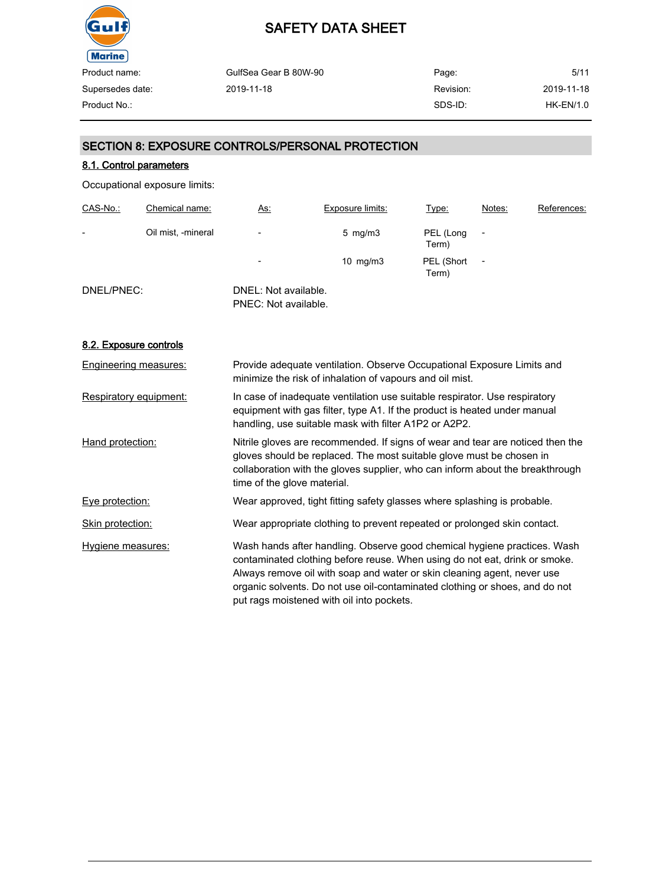

| Product name:    | GulfSea Gear B 80W-90 | Page:     | 5/11        |
|------------------|-----------------------|-----------|-------------|
| Supersedes date: | 2019-11-18            | Revision: | 2019-11-18  |
| Product No.:     |                       | SDS-ID:   | $HK-EN/1.0$ |

### SECTION 8: EXPOSURE CONTROLS/PERSONAL PROTECTION

### 8.1. Control parameters

Occupational exposure limits:

| CAS-No.:   | Chemical name:     | <u>As:</u>                                   | Exposure limits:    | Type:               | Notes:         | References: |
|------------|--------------------|----------------------------------------------|---------------------|---------------------|----------------|-------------|
| -          | Oil mist, -mineral | $\overline{\phantom{a}}$                     | $5 \,$ mg/m $3 \,$  | PEL (Long<br>Term)  |                |             |
|            |                    | $\overline{\phantom{a}}$                     | $10 \text{ mg/m}$ 3 | PEL (Short<br>Term) | $\overline{a}$ |             |
| DNEL/PNEC: |                    | DNEL: Not available.<br>PNEC: Not available. |                     |                     |                |             |

#### 8.2. Exposure controls

| <b>Engineering measures:</b> | Provide adequate ventilation. Observe Occupational Exposure Limits and<br>minimize the risk of inhalation of vapours and oil mist.                                                                                                                                                                                                                            |
|------------------------------|---------------------------------------------------------------------------------------------------------------------------------------------------------------------------------------------------------------------------------------------------------------------------------------------------------------------------------------------------------------|
| Respiratory equipment:       | In case of inadequate ventilation use suitable respirator. Use respiratory<br>equipment with gas filter, type A1. If the product is heated under manual<br>handling, use suitable mask with filter A1P2 or A2P2.                                                                                                                                              |
| Hand protection:             | Nitrile gloves are recommended. If signs of wear and tear are noticed then the<br>gloves should be replaced. The most suitable glove must be chosen in<br>collaboration with the gloves supplier, who can inform about the breakthrough<br>time of the glove material.                                                                                        |
| Eye protection:              | Wear approved, tight fitting safety glasses where splashing is probable.                                                                                                                                                                                                                                                                                      |
| Skin protection:             | Wear appropriate clothing to prevent repeated or prolonged skin contact.                                                                                                                                                                                                                                                                                      |
| Hygiene measures:            | Wash hands after handling. Observe good chemical hygiene practices. Wash<br>contaminated clothing before reuse. When using do not eat, drink or smoke.<br>Always remove oil with soap and water or skin cleaning agent, never use<br>organic solvents. Do not use oil-contaminated clothing or shoes, and do not<br>put rags moistened with oil into pockets. |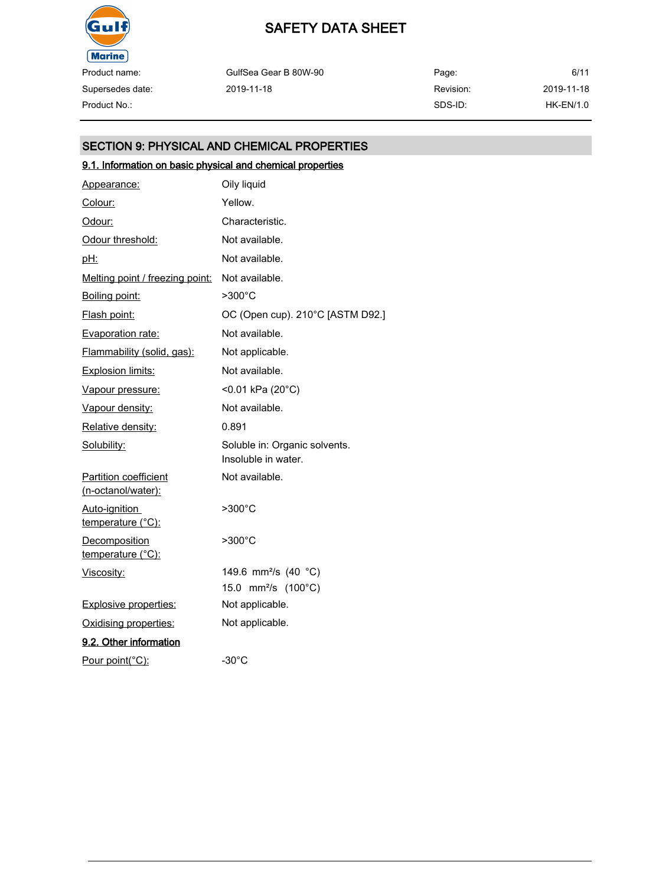

Product name: Supersedes date:

| Product name:    | GulfSea Gear B 80W-90 | Page:     | 6/11       |
|------------------|-----------------------|-----------|------------|
| Supersedes date: | 2019-11-18            | Revision: | 2019-11-18 |
| Product No.:     |                       | SDS-ID:   | HK-EN/1.0  |

## SECTION 9: PHYSICAL AND CHEMICAL PROPERTIES

## 9.1. Information on basic physical and chemical properties

| Appearance:                                        | Oily liquid                                          |
|----------------------------------------------------|------------------------------------------------------|
| Colour:                                            | Yellow.                                              |
| Odour:                                             | Characteristic.                                      |
| Odour threshold:                                   | Not available.                                       |
| <u>pH:</u>                                         | Not available.                                       |
| Melting point / freezing point:                    | Not available.                                       |
| Boiling point:                                     | >300°C                                               |
| Flash point:                                       | OC (Open cup). 210°C [ASTM D92.]                     |
| Evaporation rate:                                  | Not available.                                       |
| Flammability (solid, gas):                         | Not applicable.                                      |
| Explosion limits:                                  | Not available.                                       |
| Vapour pressure:                                   | <0.01 kPa (20°C)                                     |
| Vapour density:                                    | Not available.                                       |
| Relative density:                                  | 0.891                                                |
| Solubility:                                        | Soluble in: Organic solvents.<br>Insoluble in water. |
| <b>Partition coefficient</b><br>(n-octanol/water): | Not available.                                       |
| Auto-ignition<br>temperature (°C):                 | $>300^{\circ}$ C                                     |
| <b>Decomposition</b><br>temperature (°C):          | $>300^{\circ}$ C                                     |
| Viscosity:                                         | 149.6 mm <sup>2</sup> /s (40 °C)                     |
|                                                    | 15.0 mm <sup>2</sup> /s (100°C)                      |
| <b>Explosive properties:</b>                       | Not applicable.                                      |
| Oxidising properties:                              | Not applicable.                                      |
| 9.2. Other information                             |                                                      |
| Pour point(°C):                                    | $-30^{\circ}$ C                                      |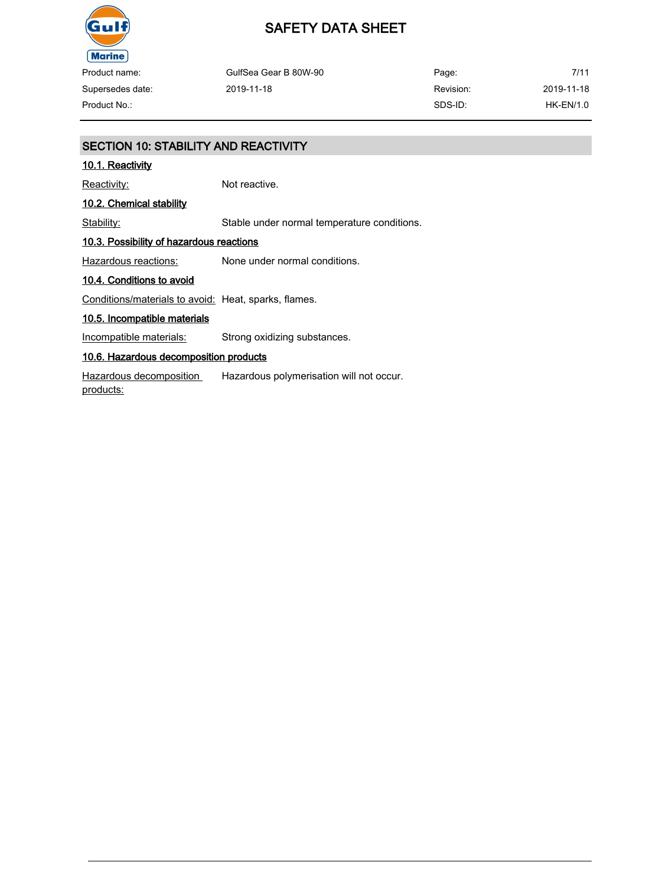

## SAFETY DATA SHEET

| Product name:    | GulfSea Gear B 80W-90 | Page:     | 7/11             |
|------------------|-----------------------|-----------|------------------|
| Supersedes date: | 2019-11-18            | Revision: | 2019-11-18       |
| Product No.:     |                       | SDS-ID:   | <b>HK-EN/1.0</b> |

## SECTION 10: STABILITY AND REACTIVITY 10.1. Reactivity Reactivity: Not reactive. 10.2. Chemical stability Stability: Stable under normal temperature conditions. 10.3. Possibility of hazardous reactions Hazardous reactions: None under normal conditions. 10.4. Conditions to avoid Conditions/materials to avoid: Heat, sparks, flames. 10.5. Incompatible materials Incompatible materials: Strong oxidizing substances. 10.6. Hazardous decomposition products Hazardous decomposition products: Hazardous polymerisation will not occur.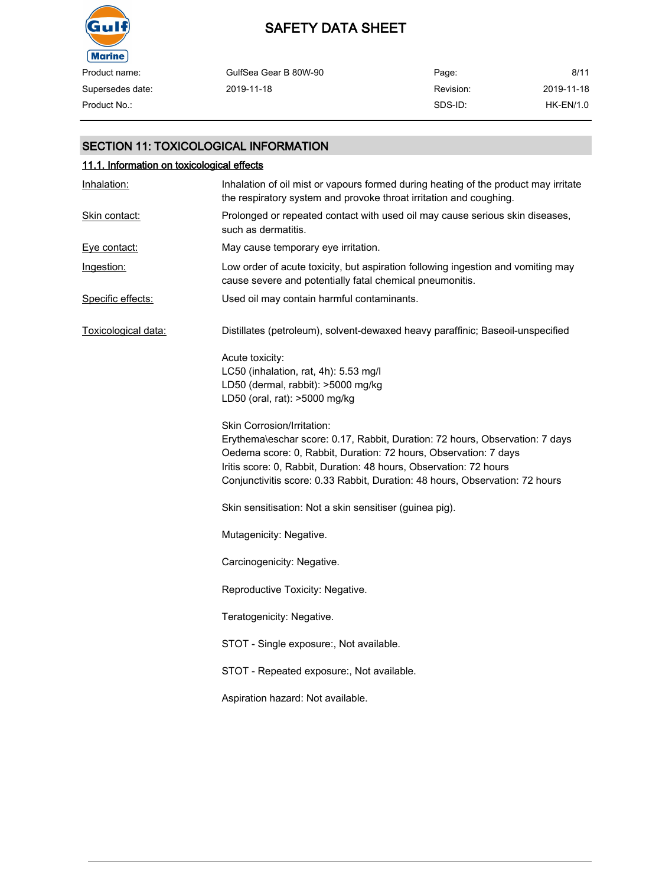

| Product name:    | GulfSea Gear B 80W-90 | Page:     | 8/11        |
|------------------|-----------------------|-----------|-------------|
| Supersedes date: | 2019-11-18            | Revision: | 2019-11-18  |
| Product No.:     |                       | SDS-ID:   | $HK-EN/1.0$ |

### SECTION 11: TOXICOLOGICAL INFORMATION

| 11.1. Information on toxicological effects |                                                                                                                                                                                                                                                                                                                                      |  |  |
|--------------------------------------------|--------------------------------------------------------------------------------------------------------------------------------------------------------------------------------------------------------------------------------------------------------------------------------------------------------------------------------------|--|--|
| Inhalation:                                | Inhalation of oil mist or vapours formed during heating of the product may irritate<br>the respiratory system and provoke throat irritation and coughing.                                                                                                                                                                            |  |  |
| Skin contact:                              | Prolonged or repeated contact with used oil may cause serious skin diseases,<br>such as dermatitis.                                                                                                                                                                                                                                  |  |  |
| Eye contact:                               | May cause temporary eye irritation.                                                                                                                                                                                                                                                                                                  |  |  |
| Ingestion:                                 | Low order of acute toxicity, but aspiration following ingestion and vomiting may<br>cause severe and potentially fatal chemical pneumonitis.                                                                                                                                                                                         |  |  |
| Specific effects:                          | Used oil may contain harmful contaminants.                                                                                                                                                                                                                                                                                           |  |  |
| Toxicological data:                        | Distillates (petroleum), solvent-dewaxed heavy paraffinic; Baseoil-unspecified                                                                                                                                                                                                                                                       |  |  |
|                                            | Acute toxicity:<br>LC50 (inhalation, rat, 4h): 5.53 mg/l<br>LD50 (dermal, rabbit): >5000 mg/kg<br>LD50 (oral, rat): >5000 mg/kg                                                                                                                                                                                                      |  |  |
|                                            | Skin Corrosion/Irritation:<br>Erythema\eschar score: 0.17, Rabbit, Duration: 72 hours, Observation: 7 days<br>Oedema score: 0, Rabbit, Duration: 72 hours, Observation: 7 days<br>Iritis score: 0, Rabbit, Duration: 48 hours, Observation: 72 hours<br>Conjunctivitis score: 0.33 Rabbit, Duration: 48 hours, Observation: 72 hours |  |  |
|                                            | Skin sensitisation: Not a skin sensitiser (guinea pig).                                                                                                                                                                                                                                                                              |  |  |
|                                            | Mutagenicity: Negative.                                                                                                                                                                                                                                                                                                              |  |  |
|                                            | Carcinogenicity: Negative.                                                                                                                                                                                                                                                                                                           |  |  |
|                                            | Reproductive Toxicity: Negative.                                                                                                                                                                                                                                                                                                     |  |  |
|                                            | Teratogenicity: Negative.                                                                                                                                                                                                                                                                                                            |  |  |
|                                            | STOT - Single exposure:, Not available.                                                                                                                                                                                                                                                                                              |  |  |
|                                            | STOT - Repeated exposure:, Not available.                                                                                                                                                                                                                                                                                            |  |  |
|                                            | Aspiration hazard: Not available.                                                                                                                                                                                                                                                                                                    |  |  |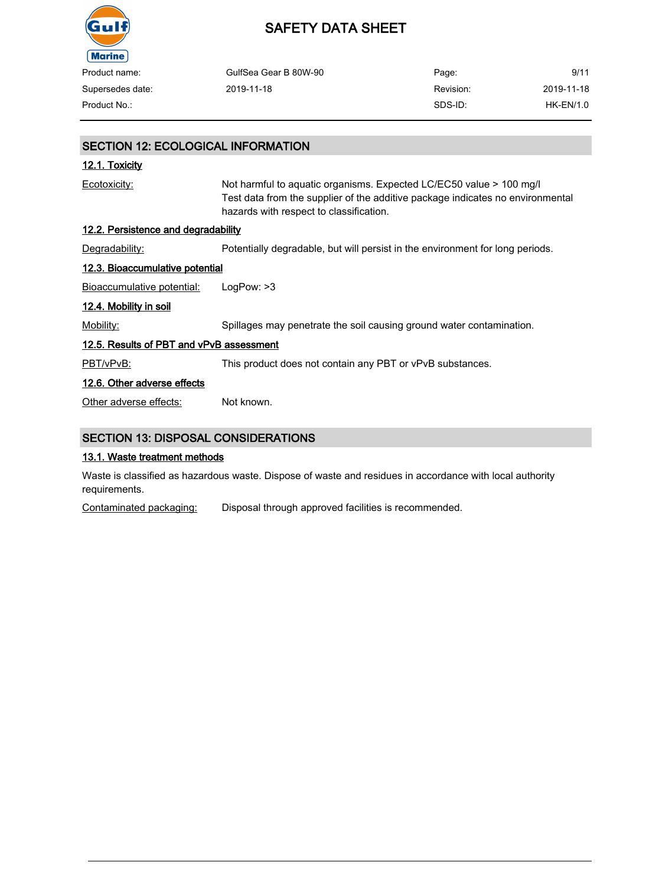

| Product name:    | GulfSea Gear B 80W-90 | Page:     | 9/11       |
|------------------|-----------------------|-----------|------------|
| Supersedes date: | 2019-11-18            | Revision: | 2019-11-18 |
| Product No.:     |                       | SDS-ID:   | HK-EN/1.0  |

## SECTION 12: ECOLOGICAL INFORMATION 12.1. Toxicity Ecotoxicity: Not harmful to aquatic organisms. Expected LC/EC50 value > 100 mg/l Test data from the supplier of the additive package indicates no environmental hazards with respect to classification. 12.2. Persistence and degradability Degradability: Potentially degradable, but will persist in the environment for long periods. 12.3. Bioaccumulative potential Bioaccumulative potential: LogPow: >3 12.4. Mobility in soil Mobility: Spillages may penetrate the soil causing ground water contamination. 12.5. Results of PBT and vPvB assessment PBT/vPvB: This product does not contain any PBT or vPvB substances. 12.6. Other adverse effects Other adverse effects: Not known. SECTION 13: DISPOSAL CONSIDERATIONS

#### 13.1. Waste treatment methods

Waste is classified as hazardous waste. Dispose of waste and residues in accordance with local authority requirements.

Contaminated packaging: Disposal through approved facilities is recommended.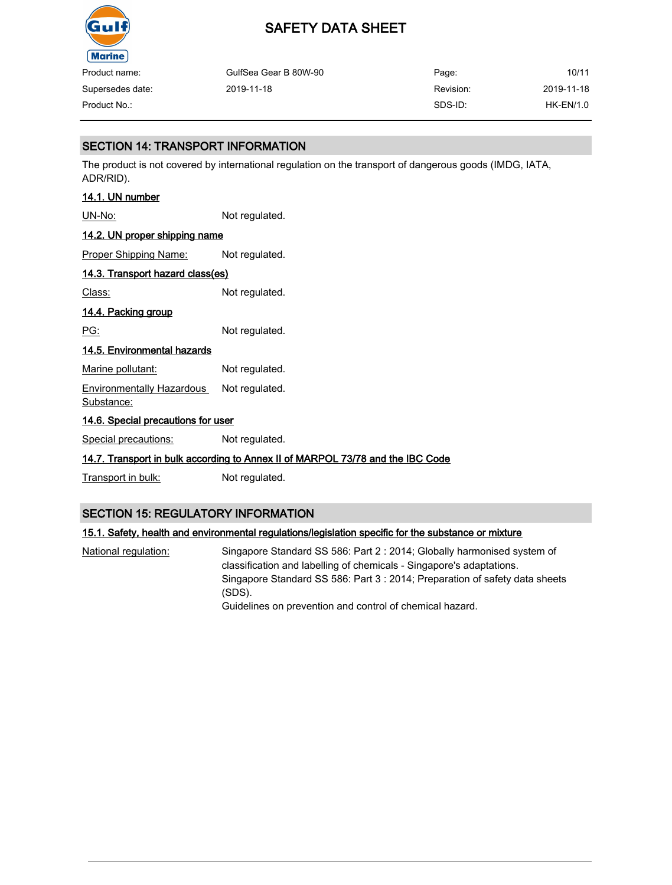

| Product name:    | GulfSea Gear B 80W-90 | Page:     | 10/11      |
|------------------|-----------------------|-----------|------------|
| Supersedes date: | 2019-11-18            | Revision: | 2019-11-18 |
| Product No.:     |                       | SDS-ID:   | HK-EN/1.0  |

### SECTION 14: TRANSPORT INFORMATION

The product is not covered by international regulation on the transport of dangerous goods (IMDG, IATA, ADR/RID).

### 14.1. UN number

UN-No: Not regulated.

## 14.2. UN proper shipping name

Proper Shipping Name: Not regulated.

### 14.3. Transport hazard class(es)

Class: Not regulated.

### 14.4. Packing group

PG: Not regulated.

#### 14.5. Environmental hazards

Marine pollutant: Not regulated.

Environmentally Hazardous Substance: Not regulated.

### 14.6. Special precautions for user

Special precautions: Not regulated.

### 14.7. Transport in bulk according to Annex II of MARPOL 73/78 and the IBC Code

Transport in bulk: Not regulated.

### SECTION 15: REGULATORY INFORMATION

### 15.1. Safety, health and environmental regulations/legislation specific for the substance or mixture

National regulation: Singapore Standard SS 586: Part 2 : 2014; Globally harmonised system of classification and labelling of chemicals - Singapore's adaptations. Singapore Standard SS 586: Part 3 : 2014; Preparation of safety data sheets (SDS). Guidelines on prevention and control of chemical hazard.